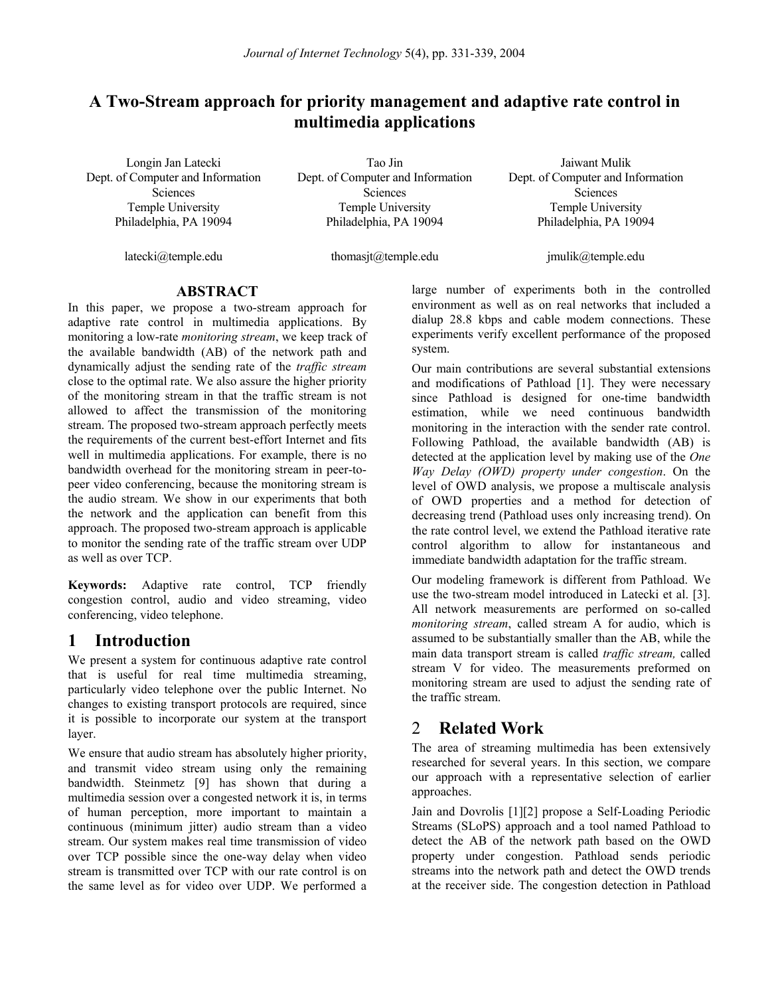# **A Two-Stream approach for priority management and adaptive rate control in multimedia applications**

Longin Jan Latecki Dept. of Computer and Information **Sciences** Temple University Philadelphia, PA 19094

Tao Jin Dept. of Computer and Information **Sciences** Temple University Philadelphia, PA 19094

Jaiwant Mulik Dept. of Computer and Information **Sciences** Temple University Philadelphia, PA 19094

latecki@temple.edu

thomasjt@temple.edu

jmulik@temple.edu

### **ABSTRACT**

In this paper, we propose a two-stream approach for adaptive rate control in multimedia applications. By monitoring a low-rate *monitoring stream*, we keep track of the available bandwidth (AB) of the network path and dynamically adjust the sending rate of the *traffic stream* close to the optimal rate. We also assure the higher priority of the monitoring stream in that the traffic stream is not allowed to affect the transmission of the monitoring stream. The proposed two-stream approach perfectly meets the requirements of the current best-effort Internet and fits well in multimedia applications. For example, there is no bandwidth overhead for the monitoring stream in peer-topeer video conferencing, because the monitoring stream is the audio stream. We show in our experiments that both the network and the application can benefit from this approach. The proposed two-stream approach is applicable to monitor the sending rate of the traffic stream over UDP as well as over TCP.

**Keywords:** Adaptive rate control, TCP friendly congestion control, audio and video streaming, video conferencing, video telephone.

## **1 Introduction**

We present a system for continuous adaptive rate control that is useful for real time multimedia streaming, particularly video telephone over the public Internet. No changes to existing transport protocols are required, since it is possible to incorporate our system at the transport layer.

We ensure that audio stream has absolutely higher priority, and transmit video stream using only the remaining bandwidth. Steinmetz [9] has shown that during a multimedia session over a congested network it is, in terms of human perception, more important to maintain a continuous (minimum jitter) audio stream than a video stream. Our system makes real time transmission of video over TCP possible since the one-way delay when video stream is transmitted over TCP with our rate control is on the same level as for video over UDP. We performed a large number of experiments both in the controlled environment as well as on real networks that included a dialup 28.8 kbps and cable modem connections. These experiments verify excellent performance of the proposed system.

Our main contributions are several substantial extensions and modifications of Pathload [1]. They were necessary since Pathload is designed for one-time bandwidth estimation, while we need continuous bandwidth monitoring in the interaction with the sender rate control. Following Pathload, the available bandwidth (AB) is detected at the application level by making use of the *One Way Delay (OWD) property under congestion*. On the level of OWD analysis, we propose a multiscale analysis of OWD properties and a method for detection of decreasing trend (Pathload uses only increasing trend). On the rate control level, we extend the Pathload iterative rate control algorithm to allow for instantaneous and immediate bandwidth adaptation for the traffic stream.

Our modeling framework is different from Pathload. We use the two-stream model introduced in Latecki et al. [3]. All network measurements are performed on so-called *monitoring stream*, called stream A for audio, which is assumed to be substantially smaller than the AB, while the main data transport stream is called *traffic stream,* called stream V for video. The measurements preformed on monitoring stream are used to adjust the sending rate of the traffic stream.

# 2 **Related Work**

The area of streaming multimedia has been extensively researched for several years. In this section, we compare our approach with a representative selection of earlier approaches.

Jain and Dovrolis [1][2] propose a Self-Loading Periodic Streams (SLoPS) approach and a tool named Pathload to detect the AB of the network path based on the OWD property under congestion. Pathload sends periodic streams into the network path and detect the OWD trends at the receiver side. The congestion detection in Pathload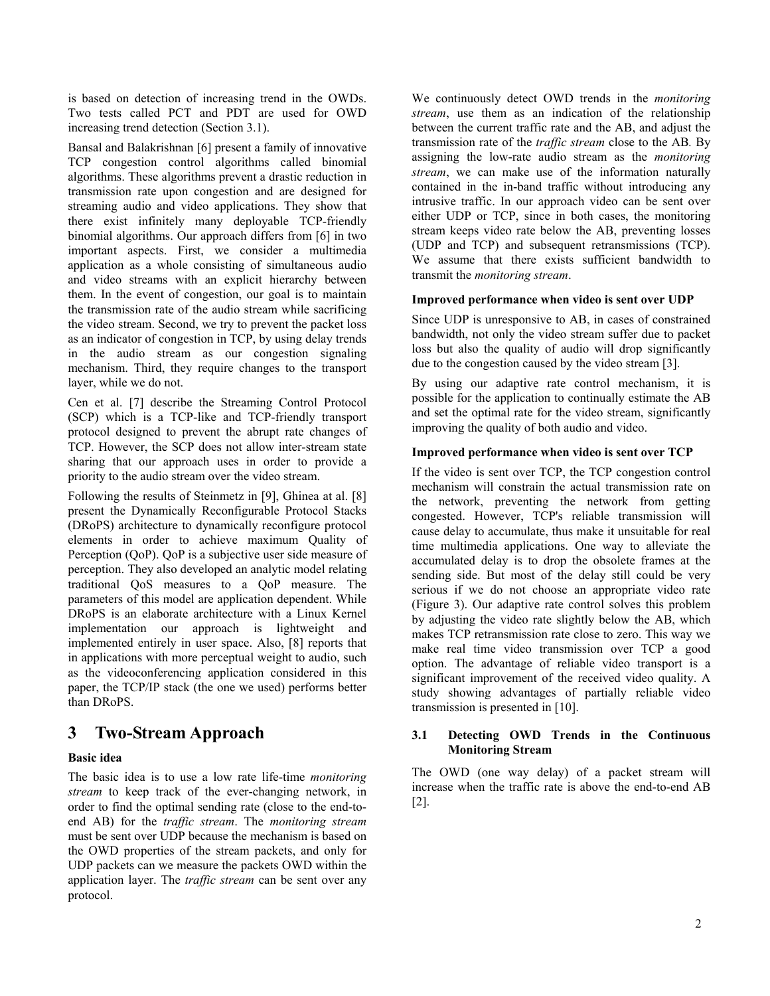is based on detection of increasing trend in the OWDs. Two tests called PCT and PDT are used for OWD increasing trend detection (Section 3.1).

Bansal and Balakrishnan [6] present a family of innovative TCP congestion control algorithms called binomial algorithms. These algorithms prevent a drastic reduction in transmission rate upon congestion and are designed for streaming audio and video applications. They show that there exist infinitely many deployable TCP-friendly binomial algorithms. Our approach differs from [6] in two important aspects. First, we consider a multimedia application as a whole consisting of simultaneous audio and video streams with an explicit hierarchy between them. In the event of congestion, our goal is to maintain the transmission rate of the audio stream while sacrificing the video stream. Second, we try to prevent the packet loss as an indicator of congestion in TCP, by using delay trends in the audio stream as our congestion signaling mechanism. Third, they require changes to the transport layer, while we do not.

Cen et al. [7] describe the Streaming Control Protocol (SCP) which is a TCP-like and TCP-friendly transport protocol designed to prevent the abrupt rate changes of TCP. However, the SCP does not allow inter-stream state sharing that our approach uses in order to provide a priority to the audio stream over the video stream.

Following the results of Steinmetz in [9], Ghinea at al. [8] present the Dynamically Reconfigurable Protocol Stacks (DRoPS) architecture to dynamically reconfigure protocol elements in order to achieve maximum Quality of Perception (QoP). QoP is a subjective user side measure of perception. They also developed an analytic model relating traditional QoS measures to a QoP measure. The parameters of this model are application dependent. While DRoPS is an elaborate architecture with a Linux Kernel implementation our approach is lightweight and implemented entirely in user space. Also, [8] reports that in applications with more perceptual weight to audio, such as the videoconferencing application considered in this paper, the TCP/IP stack (the one we used) performs better than DRoPS.

# **3 Two-Stream Approach**

### **Basic idea**

The basic idea is to use a low rate life-time *monitoring stream* to keep track of the ever-changing network, in order to find the optimal sending rate (close to the end-toend AB) for the *traffic stream*. The *monitoring stream* must be sent over UDP because the mechanism is based on the OWD properties of the stream packets, and only for UDP packets can we measure the packets OWD within the application layer. The *traffic stream* can be sent over any protocol.

We continuously detect OWD trends in the *monitoring stream*, use them as an indication of the relationship between the current traffic rate and the AB, and adjust the transmission rate of the *traffic stream* close to the AB*.* By assigning the low-rate audio stream as the *monitoring stream*, we can make use of the information naturally contained in the in-band traffic without introducing any intrusive traffic. In our approach video can be sent over either UDP or TCP, since in both cases, the monitoring stream keeps video rate below the AB, preventing losses (UDP and TCP) and subsequent retransmissions (TCP). We assume that there exists sufficient bandwidth to transmit the *monitoring stream*.

### **Improved performance when video is sent over UDP**

Since UDP is unresponsive to AB, in cases of constrained bandwidth, not only the video stream suffer due to packet loss but also the quality of audio will drop significantly due to the congestion caused by the video stream [3].

By using our adaptive rate control mechanism, it is possible for the application to continually estimate the AB and set the optimal rate for the video stream, significantly improving the quality of both audio and video.

### **Improved performance when video is sent over TCP**

If the video is sent over TCP, the TCP congestion control mechanism will constrain the actual transmission rate on the network, preventing the network from getting congested. However, TCP's reliable transmission will cause delay to accumulate, thus make it unsuitable for real time multimedia applications. One way to alleviate the accumulated delay is to drop the obsolete frames at the sending side. But most of the delay still could be very serious if we do not choose an appropriate video rate (Figure 3). Our adaptive rate control solves this problem by adjusting the video rate slightly below the AB, which makes TCP retransmission rate close to zero. This way we make real time video transmission over TCP a good option. The advantage of reliable video transport is a significant improvement of the received video quality. A study showing advantages of partially reliable video transmission is presented in [10].

### **3.1 Detecting OWD Trends in the Continuous Monitoring Stream**

The OWD (one way delay) of a packet stream will increase when the traffic rate is above the end-to-end AB [2].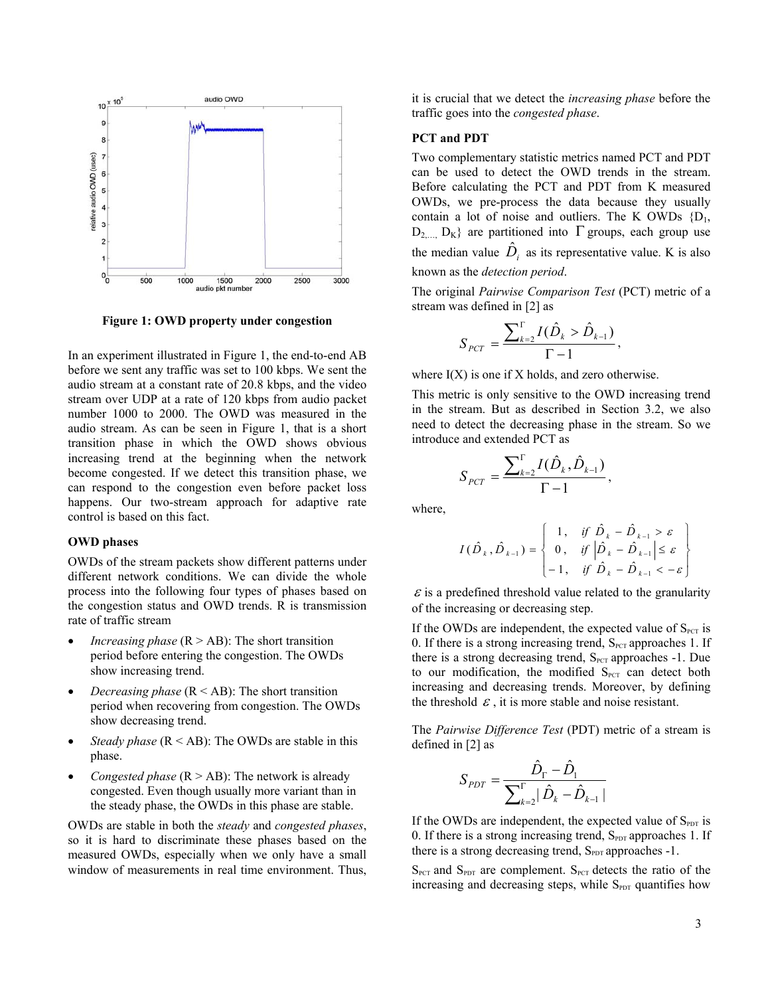

**Figure 1: OWD property under congestion** 

In an experiment illustrated in Figure 1, the end-to-end AB before we sent any traffic was set to 100 kbps. We sent the audio stream at a constant rate of 20.8 kbps, and the video stream over UDP at a rate of 120 kbps from audio packet number 1000 to 2000. The OWD was measured in the audio stream. As can be seen in Figure 1, that is a short transition phase in which the OWD shows obvious increasing trend at the beginning when the network become congested. If we detect this transition phase, we can respond to the congestion even before packet loss happens. Our two-stream approach for adaptive rate control is based on this fact.

#### **OWD phases**

OWDs of the stream packets show different patterns under different network conditions. We can divide the whole process into the following four types of phases based on the congestion status and OWD trends. R is transmission rate of traffic stream

- *Increasing phase*  $(R > AB)$ : The short transition period before entering the congestion. The OWDs show increasing trend.
- *Decreasing phase*  $(R < AB)$ : The short transition period when recovering from congestion. The OWDs show decreasing trend.
- *Steady phase*  $(R < AB)$ : The OWDs are stable in this phase.
- *Congested phase*  $(R > AB)$ : The network is already congested. Even though usually more variant than in the steady phase, the OWDs in this phase are stable.

OWDs are stable in both the *steady* and *congested phases*, so it is hard to discriminate these phases based on the measured OWDs, especially when we only have a small window of measurements in real time environment. Thus, it is crucial that we detect the *increasing phase* before the traffic goes into the *congested phase*.

#### **PCT and PDT**

Two complementary statistic metrics named PCT and PDT can be used to detect the OWD trends in the stream. Before calculating the PCT and PDT from K measured OWDs, we pre-process the data because they usually contain a lot of noise and outliers. The K OWDs  ${D_1,$  $D_2$   $D_K$ } are partitioned into Γ groups, each group use the median value  $\hat{D}_i$  as its representative value. K is also known as the *detection period*.

The original *Pairwise Comparison Test* (PCT) metric of a stream was defined in [2] as

$$
S_{PCT} = \frac{\sum_{k=2}^{n} I(\hat{D}_k > \hat{D}_{k-1})}{\Gamma - 1},
$$

where  $I(X)$  is one if X holds, and zero otherwise.

This metric is only sensitive to the OWD increasing trend in the stream. But as described in Section 3.2, we also need to detect the decreasing phase in the stream. So we introduce and extended PCT as

$$
S_{PCT} = \frac{\sum_{k=2}^{T} I(\hat{D}_k, \hat{D}_{k-1})}{\Gamma - 1},
$$

where,

$$
I(\hat{D}_k, \hat{D}_{k-1}) = \begin{cases} 1, & \text{if } \hat{D}_k - \hat{D}_{k-1} > \varepsilon \\ 0, & \text{if } \left| \hat{D}_k - \hat{D}_{k-1} \right| \le \varepsilon \\ -1, & \text{if } \hat{D}_k - \hat{D}_{k-1} < -\varepsilon \end{cases}
$$

 $\epsilon$  is a predefined threshold value related to the granularity of the increasing or decreasing step.

If the OWDs are independent, the expected value of  $S<sub>PCT</sub>$  is 0. If there is a strong increasing trend,  $S<sub>PCT</sub>$  approaches 1. If there is a strong decreasing trend,  $S_{PCT}$  approaches -1. Due to our modification, the modified  $S<sub>PCT</sub>$  can detect both increasing and decreasing trends. Moreover, by defining the threshold  $\epsilon$ , it is more stable and noise resistant.

The *Pairwise Difference Test* (PDT) metric of a stream is defined in [2] as

$$
S_{PDT} = \frac{\hat{D}_{\Gamma} - \hat{D}_{1}}{\sum_{k=2}^{\Gamma} |\hat{D}_{k} - \hat{D}_{k-1}|}
$$

If the OWDs are independent, the expected value of  $S_{PDT}$  is 0. If there is a strong increasing trend,  $S_{\text{PDT}}$  approaches 1. If there is a strong decreasing trend,  $S_{PDT}$  approaches -1.

 $S_{PCT}$  and  $S_{PDT}$  are complement.  $S_{PCT}$  detects the ratio of the increasing and decreasing steps, while  $S_{\text{PDT}}$  quantifies how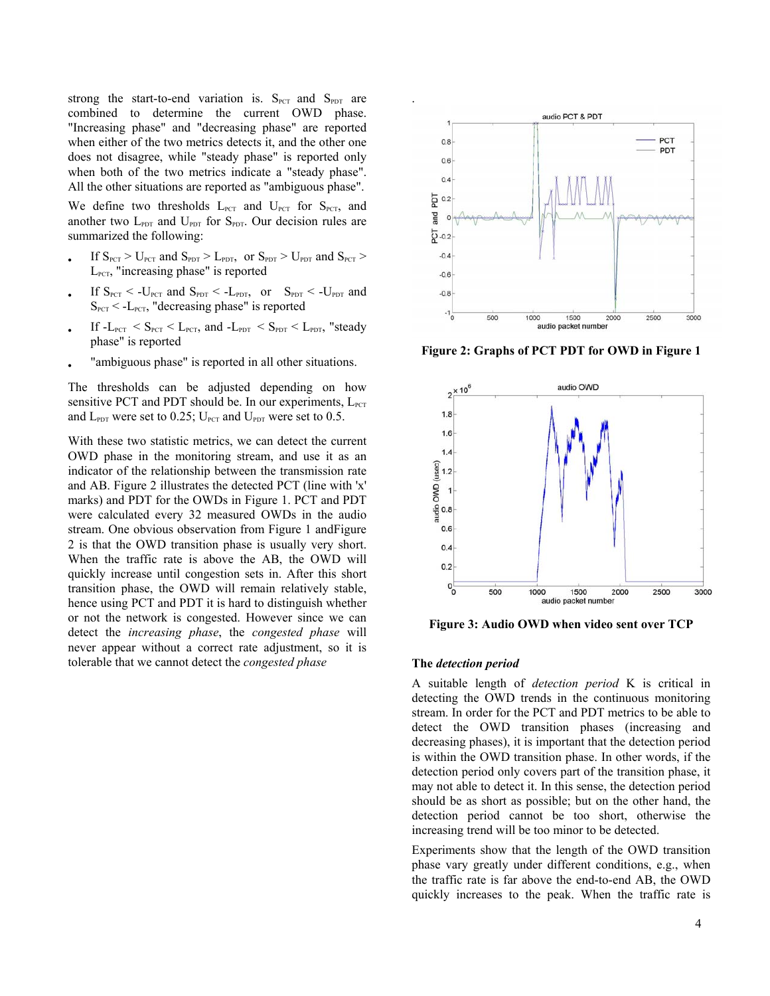strong the start-to-end variation is.  $S_{PCT}$  and  $S_{PDT}$  are combined to determine the current OWD phase. "Increasing phase" and "decreasing phase" are reported when either of the two metrics detects it, and the other one does not disagree, while "steady phase" is reported only when both of the two metrics indicate a "steady phase". All the other situations are reported as "ambiguous phase".

We define two thresholds  $L_{PCT}$  and  $U_{PCT}$  for  $S_{PCT}$ , and another two  $L_{\text{PDT}}$  and  $U_{\text{PDT}}$  for  $S_{\text{PDT}}$ . Our decision rules are summarized the following:

- If  $S_{PCT} > U_{PCT}$  and  $S_{PDT} > L_{PDT}$ , or  $S_{PDT} > U_{PDT}$  and  $S_{PCT} >$  $L_{\text{PCT}}$ , "increasing phase" is reported
- If  $S_{PCT}$  < -U<sub>PCT</sub> and  $S_{PDT}$  < -L<sub>PDT</sub>, or  $S_{PDT}$  < -U<sub>PDT</sub> and  $S<sub>PCT</sub> < -L<sub>PCT</sub>$ , "decreasing phase" is reported
- If  $-L_{PCT} < S_{PCT} < L_{PCT}$ , and  $-L_{PDT} < S_{PDT} < L_{PDT}$ , "steady phase" is reported
- "ambiguous phase" is reported in all other situations.

The thresholds can be adjusted depending on how sensitive PCT and PDT should be. In our experiments,  $L_{\text{PCT}}$ and  $L_{\text{PDT}}$  were set to 0.25;  $U_{\text{PCT}}$  and  $U_{\text{PDT}}$  were set to 0.5.

With these two statistic metrics, we can detect the current OWD phase in the monitoring stream, and use it as an indicator of the relationship between the transmission rate and AB. Figure 2 illustrates the detected PCT (line with 'x' marks) and PDT for the OWDs in Figure 1. PCT and PDT were calculated every 32 measured OWDs in the audio stream. One obvious observation from Figure 1 andFigure 2 is that the OWD transition phase is usually very short. When the traffic rate is above the AB, the OWD will quickly increase until congestion sets in. After this short transition phase, the OWD will remain relatively stable, hence using PCT and PDT it is hard to distinguish whether or not the network is congested. However since we can detect the *increasing phase*, the *congested phase* will never appear without a correct rate adjustment, so it is tolerable that we cannot detect the *congested phase* 



**Figure 2: Graphs of PCT PDT for OWD in Figure 1** 



**Figure 3: Audio OWD when video sent over TCP** 

#### **The** *detection period*

A suitable length of *detection period* K is critical in detecting the OWD trends in the continuous monitoring stream. In order for the PCT and PDT metrics to be able to detect the OWD transition phases (increasing and decreasing phases), it is important that the detection period is within the OWD transition phase. In other words, if the detection period only covers part of the transition phase, it may not able to detect it. In this sense, the detection period should be as short as possible; but on the other hand, the detection period cannot be too short, otherwise the increasing trend will be too minor to be detected.

Experiments show that the length of the OWD transition phase vary greatly under different conditions, e.g., when the traffic rate is far above the end-to-end AB, the OWD quickly increases to the peak. When the traffic rate is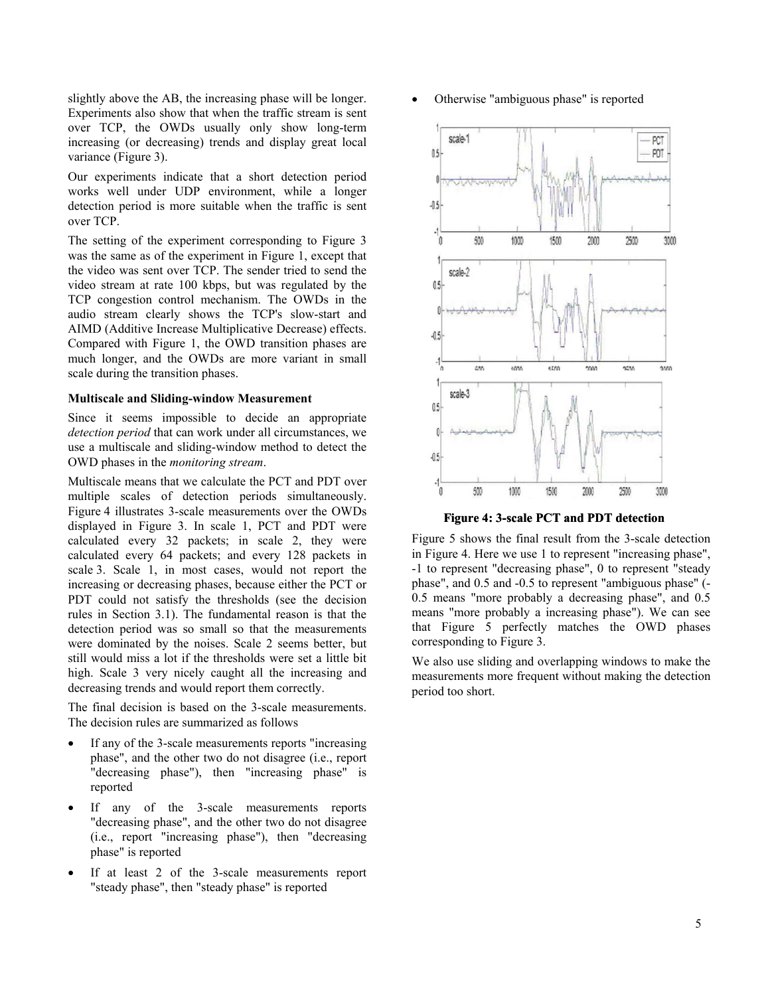slightly above the AB, the increasing phase will be longer. Experiments also show that when the traffic stream is sent over TCP, the OWDs usually only show long-term increasing (or decreasing) trends and display great local variance (Figure 3).

Our experiments indicate that a short detection period works well under UDP environment, while a longer detection period is more suitable when the traffic is sent over TCP.

The setting of the experiment corresponding to Figure 3 was the same as of the experiment in Figure 1, except that the video was sent over TCP. The sender tried to send the video stream at rate 100 kbps, but was regulated by the TCP congestion control mechanism. The OWDs in the audio stream clearly shows the TCP's slow-start and AIMD (Additive Increase Multiplicative Decrease) effects. Compared with Figure 1, the OWD transition phases are much longer, and the OWDs are more variant in small scale during the transition phases.

#### **Multiscale and Sliding-window Measurement**

Since it seems impossible to decide an appropriate *detection period* that can work under all circumstances, we use a multiscale and sliding-window method to detect the OWD phases in the *monitoring stream*.

Multiscale means that we calculate the PCT and PDT over multiple scales of detection periods simultaneously. Figure 4 illustrates 3-scale measurements over the OWDs displayed in Figure 3. In scale 1, PCT and PDT were calculated every 32 packets; in scale 2, they were calculated every 64 packets; and every 128 packets in scale 3. Scale 1, in most cases, would not report the increasing or decreasing phases, because either the PCT or PDT could not satisfy the thresholds (see the decision rules in Section 3.1). The fundamental reason is that the detection period was so small so that the measurements were dominated by the noises. Scale 2 seems better, but still would miss a lot if the thresholds were set a little bit high. Scale 3 very nicely caught all the increasing and decreasing trends and would report them correctly.

The final decision is based on the 3-scale measurements. The decision rules are summarized as follows

- If any of the 3-scale measurements reports "increasing phase", and the other two do not disagree (i.e., report "decreasing phase"), then "increasing phase" is reported
- If any of the 3-scale measurements reports "decreasing phase", and the other two do not disagree (i.e., report "increasing phase"), then "decreasing phase" is reported
- If at least 2 of the 3-scale measurements report "steady phase", then "steady phase" is reported

• Otherwise "ambiguous phase" is reported



**Figure 4: 3-scale PCT and PDT detection**

Figure 5 shows the final result from the 3-scale detection in Figure 4. Here we use 1 to represent "increasing phase", -1 to represent "decreasing phase", 0 to represent "steady phase", and 0.5 and -0.5 to represent "ambiguous phase" (- 0.5 means "more probably a decreasing phase", and 0.5 means "more probably a increasing phase"). We can see that Figure 5 perfectly matches the OWD phases corresponding to Figure 3.

We also use sliding and overlapping windows to make the measurements more frequent without making the detection period too short.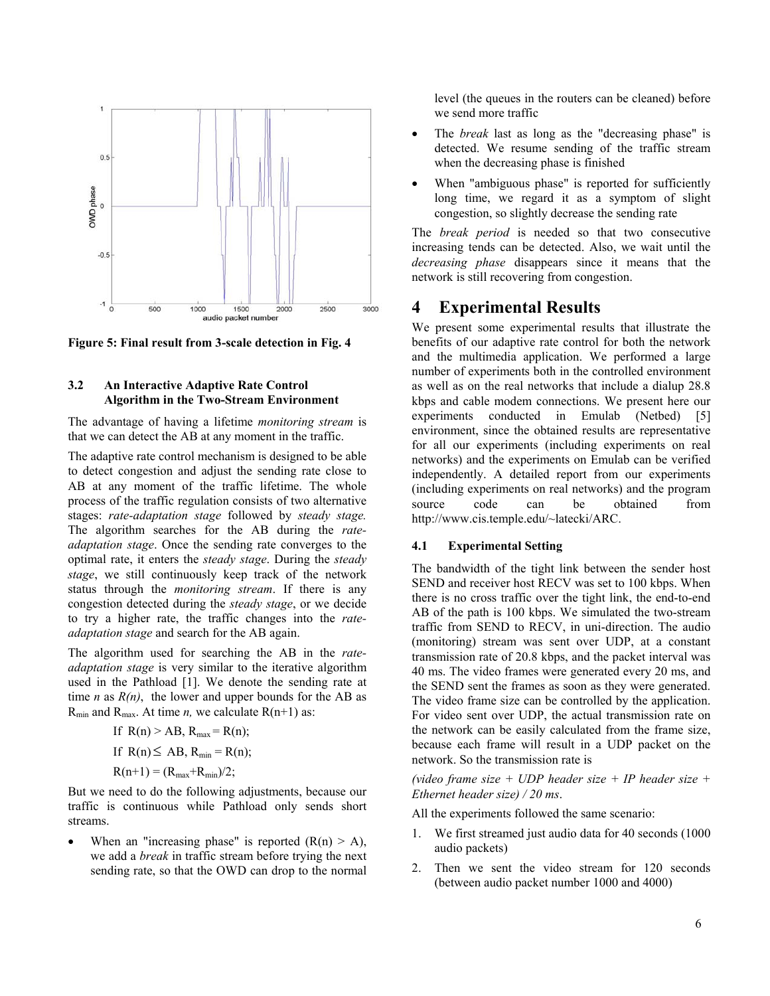

**Figure 5: Final result from 3-scale detection in Fig. 4** 

#### **3.2 An Interactive Adaptive Rate Control Algorithm in the Two-Stream Environment**

The advantage of having a lifetime *monitoring stream* is that we can detect the AB at any moment in the traffic.

The adaptive rate control mechanism is designed to be able to detect congestion and adjust the sending rate close to AB at any moment of the traffic lifetime. The whole process of the traffic regulation consists of two alternative stages: *rate-adaptation stage* followed by *steady stage.* The algorithm searches for the AB during the *rateadaptation stage*. Once the sending rate converges to the optimal rate, it enters the *steady stage*. During the *steady stage*, we still continuously keep track of the network status through the *monitoring stream*. If there is any congestion detected during the *steady stage*, or we decide to try a higher rate, the traffic changes into the *rateadaptation stage* and search for the AB again.

The algorithm used for searching the AB in the *rateadaptation stage* is very similar to the iterative algorithm used in the Pathload [1]. We denote the sending rate at time *n* as  $R(n)$ , the lower and upper bounds for the AB as  $R_{min}$  and  $R_{max}$ . At time *n*, we calculate  $R(n+1)$  as:

If 
$$
R(n) > AB
$$
,  $R_{max} = R(n)$ ;  
If  $R(n) \le AB$ ,  $R_{min} = R(n)$ ;  
 $R(n+1) = (R_{max} + R_{min})/2$ ;

But we need to do the following adjustments, because our traffic is continuous while Pathload only sends short streams.

When an "increasing phase" is reported  $(R(n) > A)$ , we add a *break* in traffic stream before trying the next sending rate, so that the OWD can drop to the normal level (the queues in the routers can be cleaned) before we send more traffic

- The *break* last as long as the "decreasing phase" is detected. We resume sending of the traffic stream when the decreasing phase is finished
- When "ambiguous phase" is reported for sufficiently long time, we regard it as a symptom of slight congestion, so slightly decrease the sending rate

The *break period* is needed so that two consecutive increasing tends can be detected. Also, we wait until the *decreasing phase* disappears since it means that the network is still recovering from congestion.

## **4 Experimental Results**

We present some experimental results that illustrate the benefits of our adaptive rate control for both the network and the multimedia application. We performed a large number of experiments both in the controlled environment as well as on the real networks that include a dialup 28.8 kbps and cable modem connections. We present here our experiments conducted in Emulab (Netbed) [5] environment, since the obtained results are representative for all our experiments (including experiments on real networks) and the experiments on Emulab can be verified independently. A detailed report from our experiments (including experiments on real networks) and the program source code can be obtained from http://www.cis.temple.edu/~latecki/ARC.

### **4.1 Experimental Setting**

The bandwidth of the tight link between the sender host SEND and receiver host RECV was set to 100 kbps. When there is no cross traffic over the tight link, the end-to-end AB of the path is 100 kbps. We simulated the two-stream traffic from SEND to RECV, in uni-direction. The audio (monitoring) stream was sent over UDP, at a constant transmission rate of 20.8 kbps, and the packet interval was 40 ms. The video frames were generated every 20 ms, and the SEND sent the frames as soon as they were generated. The video frame size can be controlled by the application. For video sent over UDP, the actual transmission rate on the network can be easily calculated from the frame size, because each frame will result in a UDP packet on the network. So the transmission rate is

*(video frame size + UDP header size + IP header size + Ethernet header size) / 20 ms*.

All the experiments followed the same scenario:

- 1. We first streamed just audio data for 40 seconds (1000 audio packets)
- 2. Then we sent the video stream for 120 seconds (between audio packet number 1000 and 4000)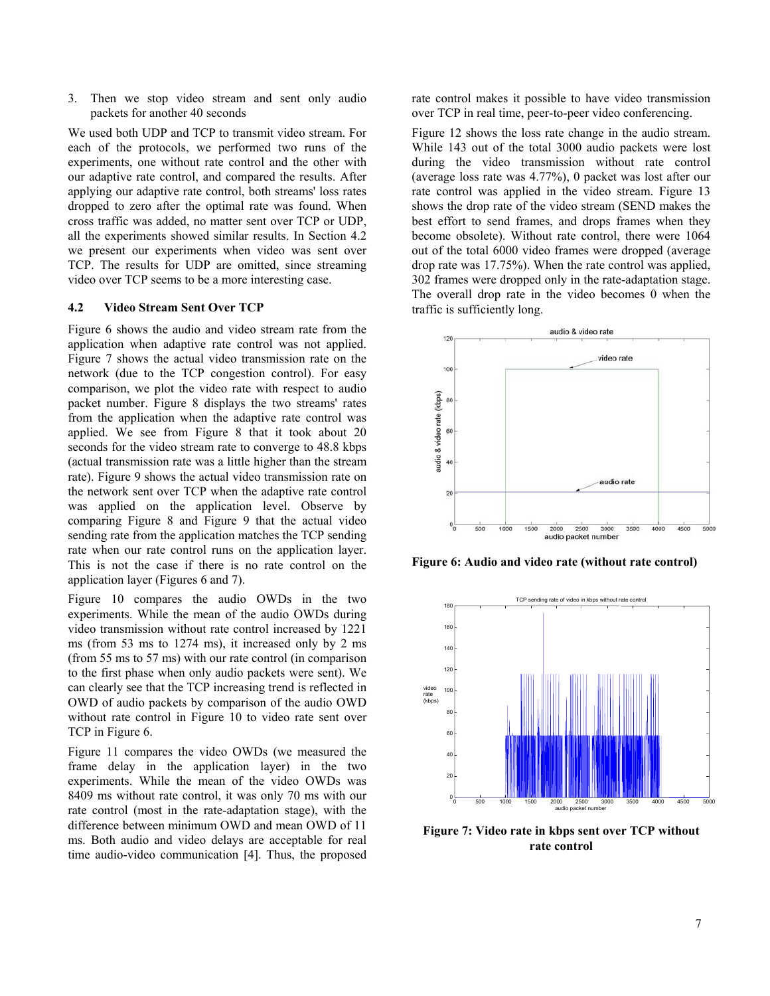3. Then we stop video stream and sent only audio packets for another 40 seconds

We used both UDP and TCP to transmit video stream. For each of the protocols, we performed two runs of the experiments, one without rate control and the other with our adaptive rate control, and compared the results. After applying our adaptive rate control, both streams' loss rates dropped to zero after the optimal rate was found. When cross traffic was added, no matter sent over TCP or UDP, all the experiments showed similar results. In Section 4.2 we present our experiments when video was sent over TCP. The results for UDP are omitted, since streaming video over TCP seems to be a more interesting case.

#### **4.2 Video Stream Sent Over TCP**

Figure 6 shows the audio and video stream rate from the application when adaptive rate control was not applied. Figure 7 shows the actual video transmission rate on the network (due to the TCP congestion control). For easy comparison, we plot the video rate with respect to audio packet number. Figure 8 displays the two streams' rates from the application when the adaptive rate control was applied. We see from Figure 8 that it took about 20 seconds for the video stream rate to converge to 48.8 kbps (actual transmission rate was a little higher than the stream rate). Figure 9 shows the actual video transmission rate on the network sent over TCP when the adaptive rate control was applied on the application level. Observe by comparing Figure 8 and Figure 9 that the actual video sending rate from the application matches the TCP sending rate when our rate control runs on the application layer. This is not the case if there is no rate control on the application layer (Figures 6 and 7).

Figure 10 compares the audio OWDs in the two experiments. While the mean of the audio OWDs during video transmission without rate control increased by 1221 ms (from 53 ms to 1274 ms), it increased only by 2 ms (from 55 ms to 57 ms) with our rate control (in comparison to the first phase when only audio packets were sent). We can clearly see that the TCP increasing trend is reflected in OWD of audio packets by comparison of the audio OWD without rate control in Figure 10 to video rate sent over TCP in Figure 6.

Figure 11 compares the video OWDs (we measured the frame delay in the application layer) in the two experiments. While the mean of the video OWDs was 8409 ms without rate control, it was only 70 ms with our rate control (most in the rate-adaptation stage), with the difference between minimum OWD and mean OWD of 11 ms. Both audio and video delays are acceptable for real time audio-video communication [4]. Thus, the proposed

rate control makes it possible to have video transmission over TCP in real time, peer-to-peer video conferencing.

Figure 12 shows the loss rate change in the audio stream. While 143 out of the total 3000 audio packets were lost during the video transmission without rate control (average loss rate was 4.77%), 0 packet was lost after our rate control was applied in the video stream. Figure 13 shows the drop rate of the video stream (SEND makes the best effort to send frames, and drops frames when they become obsolete). Without rate control, there were 1064 out of the total 6000 video frames were dropped (average drop rate was 17.75%). When the rate control was applied, 302 frames were dropped only in the rate-adaptation stage. The overall drop rate in the video becomes 0 when the traffic is sufficiently long.



**Figure 6: Audio and video rate (without rate control)** 



**Figure 7: Video rate in kbps sent over TCP without rate control**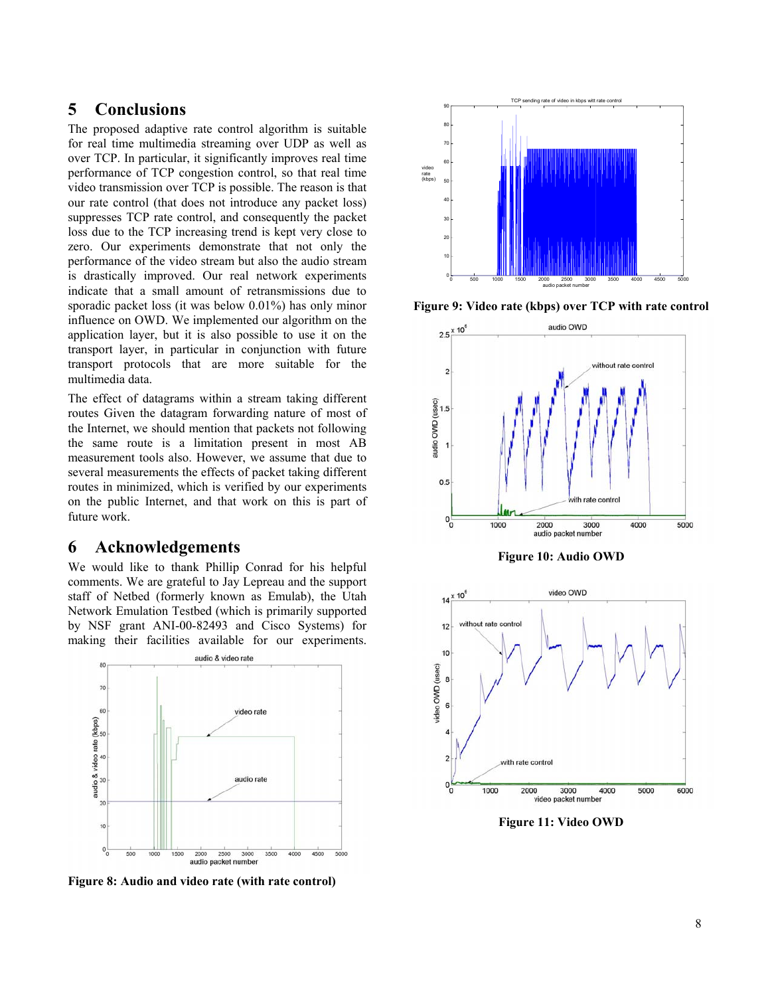## **5 Conclusions**

The proposed adaptive rate control algorithm is suitable for real time multimedia streaming over UDP as well as over TCP. In particular, it significantly improves real time performance of TCP congestion control, so that real time video transmission over TCP is possible. The reason is that our rate control (that does not introduce any packet loss) suppresses TCP rate control, and consequently the packet loss due to the TCP increasing trend is kept very close to zero. Our experiments demonstrate that not only the performance of the video stream but also the audio stream is drastically improved. Our real network experiments indicate that a small amount of retransmissions due to sporadic packet loss (it was below 0.01%) has only minor influence on OWD. We implemented our algorithm on the application layer, but it is also possible to use it on the transport layer, in particular in conjunction with future transport protocols that are more suitable for the multimedia data.

The effect of datagrams within a stream taking different routes Given the datagram forwarding nature of most of the Internet, we should mention that packets not following the same route is a limitation present in most AB measurement tools also. However, we assume that due to several measurements the effects of packet taking different routes in minimized, which is verified by our experiments on the public Internet, and that work on this is part of future work.

## **6 Acknowledgements**

We would like to thank Phillip Conrad for his helpful comments. We are grateful to Jay Lepreau and the support staff of Netbed (formerly known as Emulab), the Utah Network Emulation Testbed (which is primarily supported by NSF grant ANI-00-82493 and Cisco Systems) for making their facilities available for our experiments.



**Figure 8: Audio and video rate (with rate control)** 



**Figure 9: Video rate (kbps) over TCP with rate control** 



**Figure 10: Audio OWD** 



**Figure 11: Video OWD**